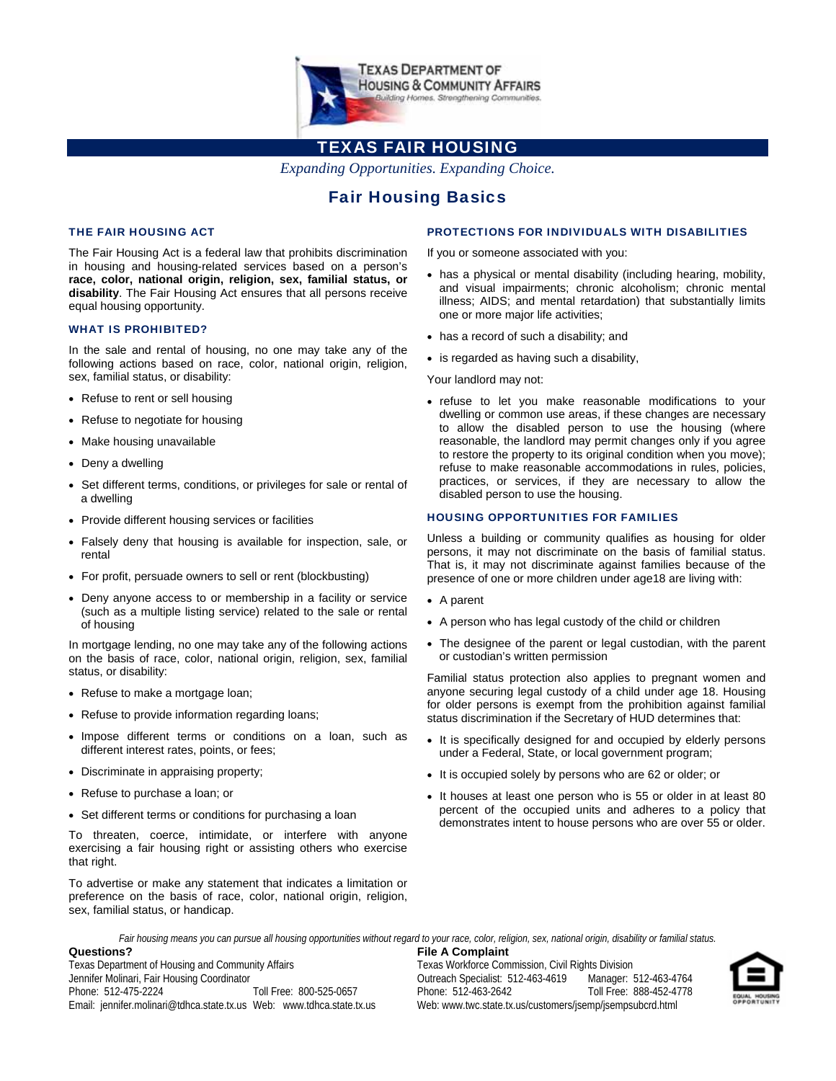

*Expanding Opportunities. Expanding Choice.* 

# Fair Housing Basics

### THE FAIR HOUSING ACT

The Fair Housing Act is a federal law that prohibits discrimination in housing and housing-related services based on a person's **race, color, national origin, religion, sex, familial status, or disability**. The Fair Housing Act ensures that all persons receive equal housing opportunity.

#### WHAT IS PROHIBITED?

In the sale and rental of housing, no one may take any of the following actions based on race, color, national origin, religion, sex, familial status, or disability:

- Refuse to rent or sell housing
- Refuse to negotiate for housing
- Make housing unavailable
- Deny a dwelling
- Set different terms, conditions, or privileges for sale or rental of a dwelling
- Provide different housing services or facilities
- Falsely deny that housing is available for inspection, sale, or rental
- For profit, persuade owners to sell or rent (blockbusting)
- Deny anyone access to or membership in a facility or service (such as a multiple listing service) related to the sale or rental of housing

In mortgage lending, no one may take any of the following actions on the basis of race, color, national origin, religion, sex, familial status, or disability:

- Refuse to make a mortgage loan;
- Refuse to provide information regarding loans;
- Impose different terms or conditions on a loan, such as different interest rates, points, or fees;
- Discriminate in appraising property;
- Refuse to purchase a loan; or
- Set different terms or conditions for purchasing a loan

To threaten, coerce, intimidate, or interfere with anyone exercising a fair housing right or assisting others who exercise that right.

To advertise or make any statement that indicates a limitation or preference on the basis of race, color, national origin, religion, sex, familial status, or handicap.

## PROTECTIONS FOR INDIVIDUALS WITH DISABILITIES

If you or someone associated with you:

- has a physical or mental disability (including hearing, mobility, and visual impairments; chronic alcoholism; chronic mental illness; AIDS; and mental retardation) that substantially limits one or more major life activities;
- has a record of such a disability; and
- is regarded as having such a disability,

Your landlord may not:

• refuse to let you make reasonable modifications to your dwelling or common use areas, if these changes are necessary to allow the disabled person to use the housing (where reasonable, the landlord may permit changes only if you agree to restore the property to its original condition when you move); refuse to make reasonable accommodations in rules, policies, practices, or services, if they are necessary to allow the disabled person to use the housing.

## HOUSING OPPORTUNITIES FOR FAMILIES

Unless a building or community qualifies as housing for older persons, it may not discriminate on the basis of familial status. That is, it may not discriminate against families because of the presence of one or more children under age18 are living with:

- A parent
- A person who has legal custody of the child or children
- The designee of the parent or legal custodian, with the parent or custodian's written permission

Familial status protection also applies to pregnant women and anyone securing legal custody of a child under age 18. Housing for older persons is exempt from the prohibition against familial status discrimination if the Secretary of HUD determines that:

- It is specifically designed for and occupied by elderly persons under a Federal, State, or local government program;
- It is occupied solely by persons who are 62 or older; or
- It houses at least one person who is 55 or older in at least 80 percent of the occupied units and adheres to a policy that demonstrates intent to house persons who are over 55 or older.

*Fair housing means you can pursue all housing opportunities without regard to your race, color, religion, sex, national origin, disability or familial status.*

**Questions? File A Complaint** Texas Department of Housing and Community Affairs Jennifer Molinari, Fair Housing Coordinator Phone: 512-475-2224 Toll Free: 800-525-0657 Email: jennifer.molinari@tdhca.state.tx.us Web: www.tdhca.state.tx.us

Texas Workforce Commission, Civil Rights Division

Outreach Specialist: 512-463-4619 Manager: 512-463-4764 Phone: 512-463-2642 Toll Free: 888-452-4778 Web: www.twc.state.tx.us/customers/jsemp/jsempsubcrd.html

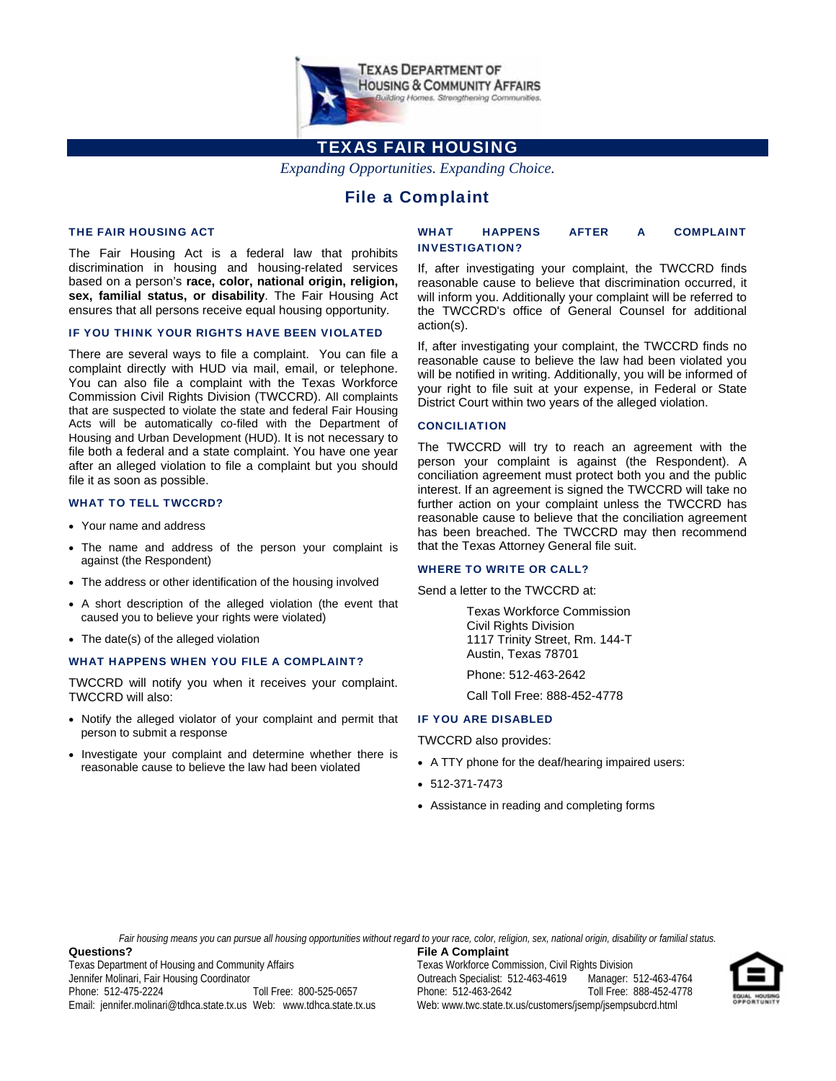

*Expanding Opportunities. Expanding Choice.* 

# File a Complaint

## THE FAIR HOUSING ACT

The Fair Housing Act is a federal law that prohibits discrimination in housing and housing-related services based on a person's **race, color, national origin, religion, sex, familial status, or disability**. The Fair Housing Act ensures that all persons receive equal housing opportunity.

#### IF YOU THINK YOUR RIGHTS HAVE BEEN VIOLATED

There are several ways to file a complaint. You can file a complaint directly with HUD via mail, email, or telephone. You can also file a complaint with the Texas Workforce Commission Civil Rights Division (TWCCRD). All complaints that are suspected to violate the state and federal Fair Housing Acts will be automatically co-filed with the Department of Housing and Urban Development (HUD). It is not necessary to file both a federal and a state complaint. You have one year after an alleged violation to file a complaint but you should file it as soon as possible.

#### WHAT TO TELL TWCCRD?

- Your name and address
- The name and address of the person your complaint is against (the Respondent)
- The address or other identification of the housing involved
- A short description of the alleged violation (the event that caused you to believe your rights were violated)
- The date(s) of the alleged violation

## WHAT HAPPENS WHEN YOU FILE A COMPLAINT?

TWCCRD will notify you when it receives your complaint. TWCCRD will also:

- Notify the alleged violator of your complaint and permit that person to submit a response
- Investigate your complaint and determine whether there is reasonable cause to believe the law had been violated

## WHAT HAPPENS AFTER A COMPLAINT INVESTIGATION?

If, after investigating your complaint, the TWCCRD finds reasonable cause to believe that discrimination occurred, it will inform you. Additionally your complaint will be referred to the TWCCRD's office of General Counsel for additional action(s).

If, after investigating your complaint, the TWCCRD finds no reasonable cause to believe the law had been violated you will be notified in writing. Additionally, you will be informed of your right to file suit at your expense, in Federal or State District Court within two years of the alleged violation.

## CONCILIATION

The TWCCRD will try to reach an agreement with the person your complaint is against (the Respondent). A conciliation agreement must protect both you and the public interest. If an agreement is signed the TWCCRD will take no further action on your complaint unless the TWCCRD has reasonable cause to believe that the conciliation agreement has been breached. The TWCCRD may then recommend that the Texas Attorney General file suit.

### WHERE TO WRITE OR CALL?

Send a letter to the TWCCRD at:

Texas Workforce Commission Civil Rights Division 1117 Trinity Street, Rm. 144-T Austin, Texas 78701

Phone: 512-463-2642

Call Toll Free: 888-452-4778

# IF YOU ARE DISABLED

TWCCRD also provides:

- A TTY phone for the deaf/hearing impaired users:
- 512-371-7473
- Assistance in reading and completing forms

*Fair housing means you can pursue all housing opportunities without regard to your race, color, religion, sex, national origin, disability or familial status.*

#### **Questions? File A Complaint** Texas Department of Housing and Community Affairs Jennifer Molinari, Fair Housing Coordinator Phone: 512-475-2224 Toll Free: 800-525-0657 Email: jennifer.molinari@tdhca.state.tx.us Web: www.tdhca.state.tx.us

Texas Workforce Commission, Civil Rights Division Outreach Specialist: 512-463-4619 Manager: 512-463-4764 Phone: 512-463-2642 Toll Free: 888-452-4778 Web: www.twc.state.tx.us/customers/jsemp/jsempsubcrd.html

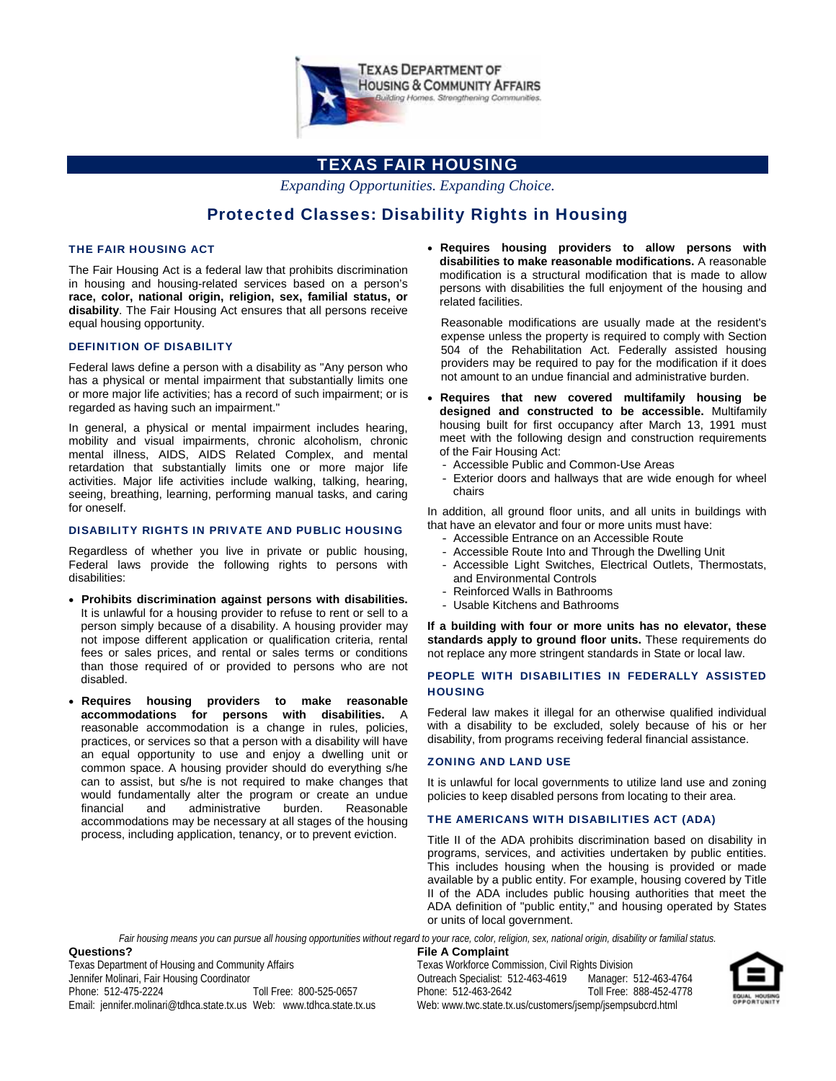

*Expanding Opportunities. Expanding Choice.* 

# Protected Classes: Disability Rights in Housing

#### THE FAIR HOUSING ACT

The Fair Housing Act is a federal law that prohibits discrimination in housing and housing-related services based on a person's **race, color, national origin, religion, sex, familial status, or disability**. The Fair Housing Act ensures that all persons receive equal housing opportunity.

#### DEFINITION OF DISABILITY

Federal laws define a person with a disability as "Any person who has a physical or mental impairment that substantially limits one or more major life activities; has a record of such impairment; or is regarded as having such an impairment."

In general, a physical or mental impairment includes hearing, mobility and visual impairments, chronic alcoholism, chronic mental illness, AIDS, AIDS Related Complex, and mental retardation that substantially limits one or more major life activities. Major life activities include walking, talking, hearing, seeing, breathing, learning, performing manual tasks, and caring for oneself.

## DISABILITY RIGHTS IN PRIVATE AND PUBLIC HOUSING

Regardless of whether you live in private or public housing, Federal laws provide the following rights to persons with disabilities:

- **Prohibits discrimination against persons with disabilities.** It is unlawful for a housing provider to refuse to rent or sell to a person simply because of a disability. A housing provider may not impose different application or qualification criteria, rental fees or sales prices, and rental or sales terms or conditions than those required of or provided to persons who are not disabled.
- **Requires housing providers to make reasonable accommodations for persons with disabilities.** A reasonable accommodation is a change in rules, policies, practices, or services so that a person with a disability will have an equal opportunity to use and enjoy a dwelling unit or common space. A housing provider should do everything s/he can to assist, but s/he is not required to make changes that would fundamentally alter the program or create an undue financial and administrative burden. Reasonable accommodations may be necessary at all stages of the housing process, including application, tenancy, or to prevent eviction.

• **Requires housing providers to allow persons with disabilities to make reasonable modifications.** A reasonable modification is a structural modification that is made to allow persons with disabilities the full enjoyment of the housing and related facilities.

Reasonable modifications are usually made at the resident's expense unless the property is required to comply with Section 504 of the Rehabilitation Act. Federally assisted housing providers may be required to pay for the modification if it does not amount to an undue financial and administrative burden.

- **Requires that new covered multifamily housing be designed and constructed to be accessible.** Multifamily housing built for first occupancy after March 13, 1991 must meet with the following design and construction requirements of the Fair Housing Act:
	- Accessible Public and Common-Use Areas<br>- Exterior doors and ballways that are wide
	- Exterior doors and hallways that are wide enough for wheel chairs

In addition, all ground floor units, and all units in buildings with that have an elevator and four or more units must have:

- Accessible Entrance on an Accessible Route
- Accessible Route Into and Through the Dwelling Unit
- Accessible Light Switches, Electrical Outlets, Thermostats, and Environmental Controls
- Reinforced Walls in Bathrooms
- Usable Kitchens and Bathrooms

**If a building with four or more units has no elevator, these standards apply to ground floor units.** These requirements do not replace any more stringent standards in State or local law.

### PEOPLE WITH DISABILITIES IN FEDERALLY ASSISTED **HOUSING**

Federal law makes it illegal for an otherwise qualified individual with a disability to be excluded, solely because of his or her disability, from programs receiving federal financial assistance.

#### ZONING AND LAND USE

It is unlawful for local governments to utilize land use and zoning policies to keep disabled persons from locating to their area.

## THE AMERICANS WITH DISABILITIES ACT (ADA)

Title II of the ADA prohibits discrimination based on disability in programs, services, and activities undertaken by public entities. This includes housing when the housing is provided or made available by a public entity. For example, housing covered by Title II of the ADA includes public housing authorities that meet the ADA definition of "public entity," and housing operated by States or units of local government.

*Fair housing means you can pursue all housing opportunities without regard to your race, color, religion, sex, national origin, disability or familial status.*

## **Questions? File A Complaint**

Texas Department of Housing and Community Affairs Jennifer Molinari, Fair Housing Coordinator Phone: 512-475-2224 Toll Free: 800-525-0657 Email: jennifer.molinari@tdhca.state.tx.us Web: www.tdhca.state.tx.us

Texas Workforce Commission, Civil Rights Division Outreach Specialist: 512-463-4619 Manager: 512-463-4764 Phone: 512-463-2642 Toll Free: 888-452-4778 Web: www.twc.state.tx.us/customers/jsemp/jsempsubcrd.html